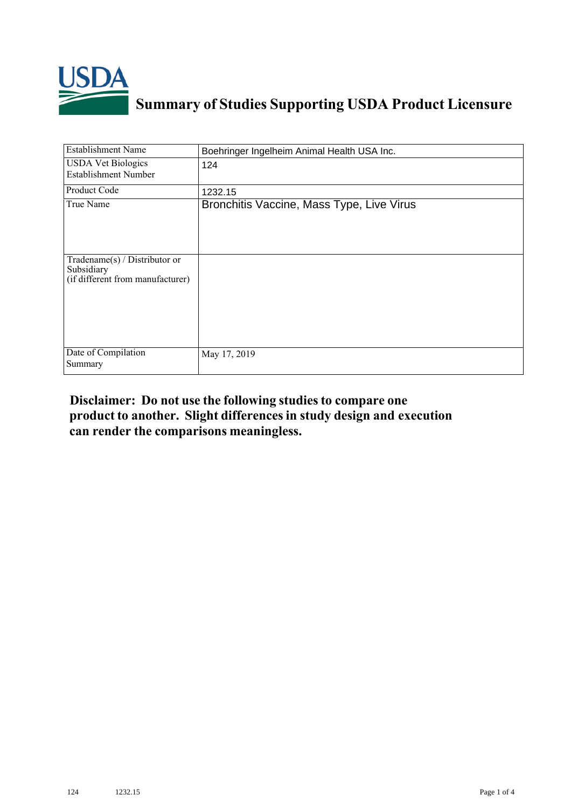

## **Summary of Studies Supporting USDA Product Licensure**

| <b>Establishment Name</b>                                                       | Boehringer Ingelheim Animal Health USA Inc. |
|---------------------------------------------------------------------------------|---------------------------------------------|
| <b>USDA Vet Biologics</b><br><b>Establishment Number</b>                        | 124                                         |
| Product Code                                                                    | 1232.15                                     |
| True Name                                                                       | Bronchitis Vaccine, Mass Type, Live Virus   |
| Tradename(s) / Distributor or<br>Subsidiary<br>(if different from manufacturer) |                                             |
| Date of Compilation<br>Summary                                                  | May 17, 2019                                |

## **Disclaimer: Do not use the following studiesto compare one product to another. Slight differencesin study design and execution can render the comparisons meaningless.**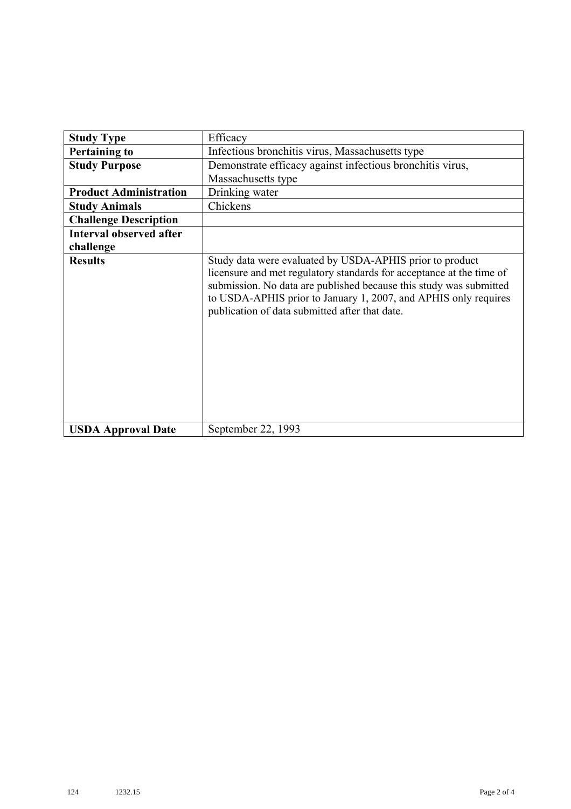| <b>Study Type</b>              | Efficacy                                                                                                                                                                                                                                                                                                                    |
|--------------------------------|-----------------------------------------------------------------------------------------------------------------------------------------------------------------------------------------------------------------------------------------------------------------------------------------------------------------------------|
| <b>Pertaining to</b>           | Infectious bronchitis virus, Massachusetts type                                                                                                                                                                                                                                                                             |
| <b>Study Purpose</b>           | Demonstrate efficacy against infectious bronchitis virus,                                                                                                                                                                                                                                                                   |
|                                | Massachusetts type                                                                                                                                                                                                                                                                                                          |
| <b>Product Administration</b>  | Drinking water                                                                                                                                                                                                                                                                                                              |
| <b>Study Animals</b>           | Chickens                                                                                                                                                                                                                                                                                                                    |
| <b>Challenge Description</b>   |                                                                                                                                                                                                                                                                                                                             |
| <b>Interval observed after</b> |                                                                                                                                                                                                                                                                                                                             |
| challenge                      |                                                                                                                                                                                                                                                                                                                             |
| <b>Results</b>                 | Study data were evaluated by USDA-APHIS prior to product<br>licensure and met regulatory standards for acceptance at the time of<br>submission. No data are published because this study was submitted<br>to USDA-APHIS prior to January 1, 2007, and APHIS only requires<br>publication of data submitted after that date. |
| <b>USDA Approval Date</b>      | September 22, 1993                                                                                                                                                                                                                                                                                                          |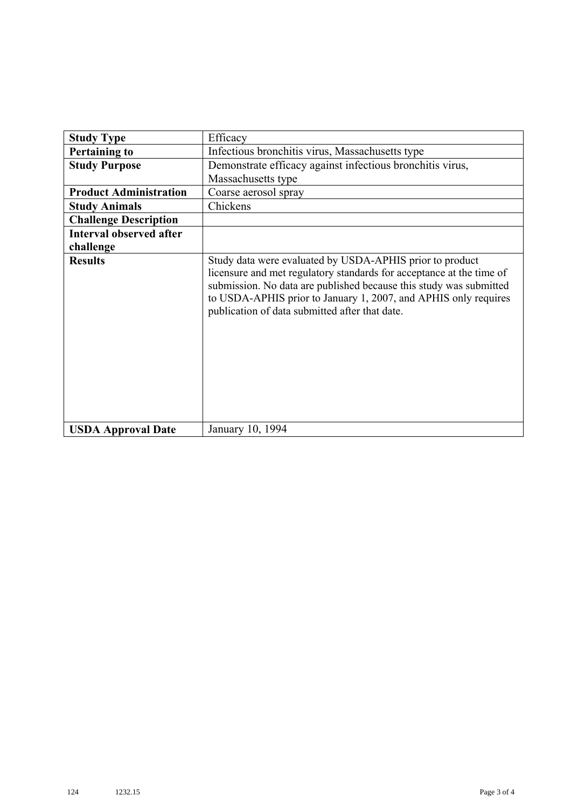| <b>Study Type</b>              | Efficacy                                                                                                                                                                                                                                                                                                                    |
|--------------------------------|-----------------------------------------------------------------------------------------------------------------------------------------------------------------------------------------------------------------------------------------------------------------------------------------------------------------------------|
| <b>Pertaining to</b>           | Infectious bronchitis virus, Massachusetts type                                                                                                                                                                                                                                                                             |
| <b>Study Purpose</b>           | Demonstrate efficacy against infectious bronchitis virus,                                                                                                                                                                                                                                                                   |
|                                | Massachusetts type                                                                                                                                                                                                                                                                                                          |
| <b>Product Administration</b>  | Coarse aerosol spray                                                                                                                                                                                                                                                                                                        |
| <b>Study Animals</b>           | Chickens                                                                                                                                                                                                                                                                                                                    |
| <b>Challenge Description</b>   |                                                                                                                                                                                                                                                                                                                             |
| <b>Interval observed after</b> |                                                                                                                                                                                                                                                                                                                             |
| challenge                      |                                                                                                                                                                                                                                                                                                                             |
| <b>Results</b>                 | Study data were evaluated by USDA-APHIS prior to product<br>licensure and met regulatory standards for acceptance at the time of<br>submission. No data are published because this study was submitted<br>to USDA-APHIS prior to January 1, 2007, and APHIS only requires<br>publication of data submitted after that date. |
| <b>USDA Approval Date</b>      | January 10, 1994                                                                                                                                                                                                                                                                                                            |